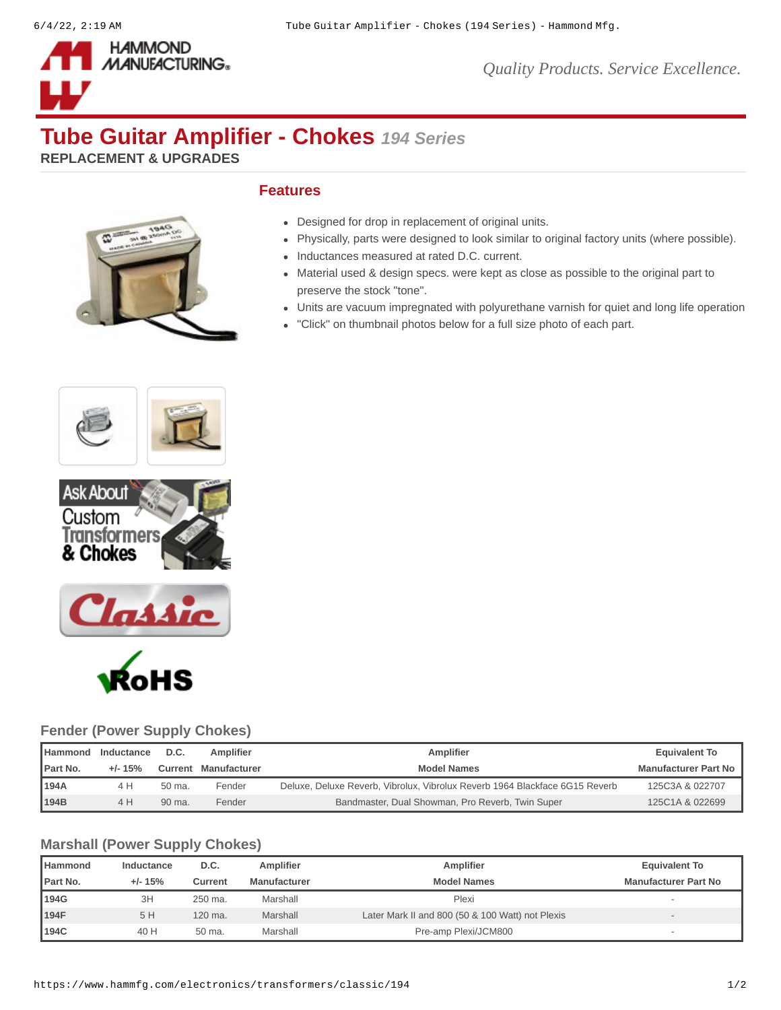

*Quality Products. Service Excellence.*

# **Tube Guitar Amplifier - Chokes** *194 Series*

**REPLACEMENT & UPGRADES**



### **Features**

- Designed for drop in replacement of original units.
- Physically, parts were designed to look similar to original factory units (where possible).
- Inductances measured at rated D.C. current.
- Material used & design specs. were kept as close as possible to the original part to preserve the stock "tone".
- Units are vacuum impregnated with polyurethane varnish for quiet and long life operation
- "Click" on thumbnail photos below for a full size photo of each part.







### **Fender (Power Supply Chokes)**

| <b>I</b> Hammond | Inductance | D.C.   | Amplifier            | Amplifier                                                                   | <b>Equivalent To</b>        |
|------------------|------------|--------|----------------------|-----------------------------------------------------------------------------|-----------------------------|
| Part No.         | $+1 - 15%$ |        | Current Manufacturer | <b>Model Names</b>                                                          | <b>Manufacturer Part No</b> |
| 194A             | 4 H        | 50 ma. | Fender               | Deluxe, Deluxe Reverb, Vibrolux, Vibrolux Reverb 1964 Blackface 6G15 Reverb | 125C3A & 022707             |
| 194B             | 4 H        | 90 ma. | Fender               | Bandmaster, Dual Showman, Pro Reverb, Twin Super                            | 125C1A & 022699             |

### **Marshall (Power Supply Chokes)**

| <b>Hammond</b>   | Inductance | D.C.    | Amplifier    | Amplifier                                        | <b>Equivalent To</b>        |
|------------------|------------|---------|--------------|--------------------------------------------------|-----------------------------|
| <b>IPart No.</b> | $+/- 15%$  | Current | Manufacturer | <b>Model Names</b>                               | <b>Manufacturer Part No</b> |
| 194G             | 3H         | 250 ma. | Marshall     | Plexi                                            |                             |
| 194F             | 5 H        | 120 ma. | Marshall     | Later Mark II and 800 (50 & 100 Watt) not Plexis |                             |
| 194C             | 40 H       | 50 ma.  | Marshall     | Pre-amp Plexi/JCM800                             |                             |